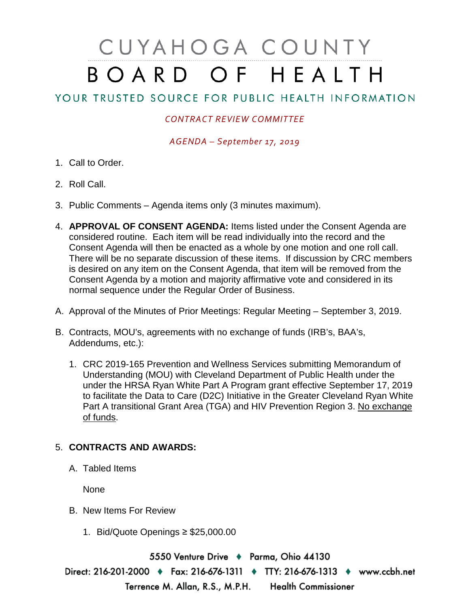## CUYAHOGA COUNTY BOARD OF HEALTH

## YOUR TRUSTED SOURCE FOR PUBLIC HEALTH INFORMATION

## *CONTRACT REVIEW COMMITTEE*

*AGENDA – September 17, 2019*

- 1. Call to Order.
- 2. Roll Call.
- 3. Public Comments Agenda items only (3 minutes maximum).
- 4. **APPROVAL OF CONSENT AGENDA:** Items listed under the Consent Agenda are considered routine. Each item will be read individually into the record and the Consent Agenda will then be enacted as a whole by one motion and one roll call. There will be no separate discussion of these items. If discussion by CRC members is desired on any item on the Consent Agenda, that item will be removed from the Consent Agenda by a motion and majority affirmative vote and considered in its normal sequence under the Regular Order of Business.
- A. Approval of the Minutes of Prior Meetings: Regular Meeting September 3, 2019.
- B. Contracts, MOU's, agreements with no exchange of funds (IRB's, BAA's, Addendums, etc.):
	- 1. CRC 2019-165 Prevention and Wellness Services submitting Memorandum of Understanding (MOU) with Cleveland Department of Public Health under the under the HRSA Ryan White Part A Program grant effective September 17, 2019 to facilitate the Data to Care (D2C) Initiative in the Greater Cleveland Ryan White Part A transitional Grant Area (TGA) and HIV Prevention Region 3. No exchange of funds.

## 5. **CONTRACTS AND AWARDS:**

A. Tabled Items

None

- B. New Items For Review
	- 1. Bid/Quote Openings ≥ \$25,000.00

5550 Venture Drive + Parma, Ohio 44130 Direct: 216-201-2000 • Fax: 216-676-1311 • TTY: 216-676-1313 • www.ccbh.net Terrence M. Allan, R.S., M.P.H. **Health Commissioner**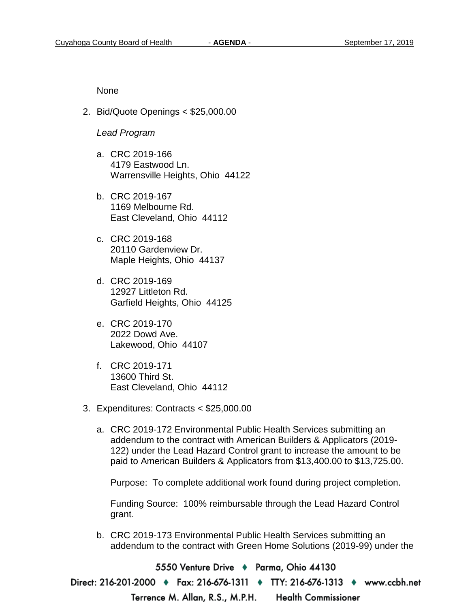None

2. Bid/Quote Openings < \$25,000.00

*Lead Program* 

- a. CRC 2019-166 4179 Eastwood Ln. Warrensville Heights, Ohio 44122
- b. CRC 2019-167 1169 Melbourne Rd. East Cleveland, Ohio 44112
- c. CRC 2019-168 20110 Gardenview Dr. Maple Heights, Ohio 44137
- d. CRC 2019-169 12927 Littleton Rd. Garfield Heights, Ohio 44125
- e. CRC 2019-170 2022 Dowd Ave. Lakewood, Ohio 44107
- f. CRC 2019-171 13600 Third St. East Cleveland, Ohio 44112
- 3. Expenditures: Contracts < \$25,000.00
	- a. CRC 2019-172 Environmental Public Health Services submitting an addendum to the contract with American Builders & Applicators (2019- 122) under the Lead Hazard Control grant to increase the amount to be paid to American Builders & Applicators from \$13,400.00 to \$13,725.00.

Purpose: To complete additional work found during project completion.

Funding Source: 100% reimbursable through the Lead Hazard Control grant.

b. CRC 2019-173 Environmental Public Health Services submitting an addendum to the contract with Green Home Solutions (2019-99) under the

5550 Venture Drive + Parma, Ohio 44130

Direct: 216-201-2000 ♦ Fax: 216-676-1311 ♦ TTY: 216-676-1313 ♦ www.ccbh.net

Terrence M. Allan, R.S., M.P.H. **Health Commissioner**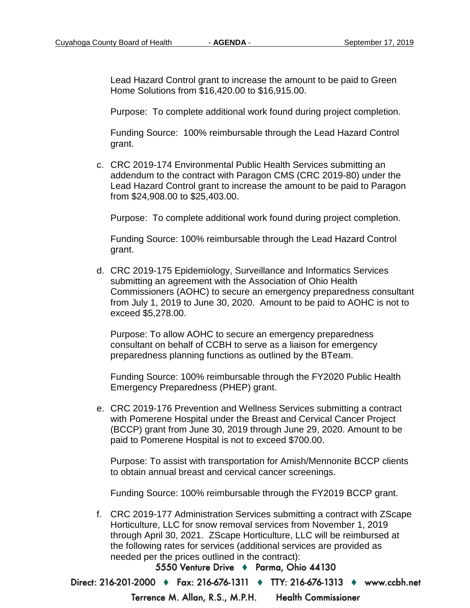Lead Hazard Control grant to increase the amount to be paid to Green Home Solutions from \$16,420.00 to \$16,915.00.

Purpose: To complete additional work found during project completion.

Funding Source: 100% reimbursable through the Lead Hazard Control grant.

c. CRC 2019-174 Environmental Public Health Services submitting an addendum to the contract with Paragon CMS (CRC 2019-80) under the Lead Hazard Control grant to increase the amount to be paid to Paragon from \$24,908.00 to \$25,403.00.

Purpose: To complete additional work found during project completion.

Funding Source: 100% reimbursable through the Lead Hazard Control grant.

d. CRC 2019-175 Epidemiology, Surveillance and Informatics Services submitting an agreement with the Association of Ohio Health Commissioners (AOHC) to secure an emergency preparedness consultant from July 1, 2019 to June 30, 2020. Amount to be paid to AOHC is not to exceed \$5,278.00.

Purpose: To allow AOHC to secure an emergency preparedness consultant on behalf of CCBH to serve as a liaison for emergency preparedness planning functions as outlined by the BTeam.

Funding Source: 100% reimbursable through the FY2020 Public Health Emergency Preparedness (PHEP) grant.

e. CRC 2019-176 Prevention and Wellness Services submitting a contract with Pomerene Hospital under the Breast and Cervical Cancer Project (BCCP) grant from June 30, 2019 through June 29, 2020. Amount to be paid to Pomerene Hospital is not to exceed \$700.00.

Purpose: To assist with transportation for Amish/Mennonite BCCP clients to obtain annual breast and cervical cancer screenings.

Funding Source: 100% reimbursable through the FY2019 BCCP grant.

f. CRC 2019-177 Administration Services submitting a contract with ZScape Horticulture, LLC for snow removal services from November 1, 2019 through April 30, 2021. ZScape Horticulture, LLC will be reimbursed at the following rates for services (additional services are provided as needed per the prices outlined in the contract):

5550 Venture Drive + Parma, Ohio 44130

Direct: 216-201-2000 • Fax: 216-676-1311 • TTY: 216-676-1313 • www.ccbh.net

Terrence M. Allan, R.S., M.P.H. **Health Commissioner**